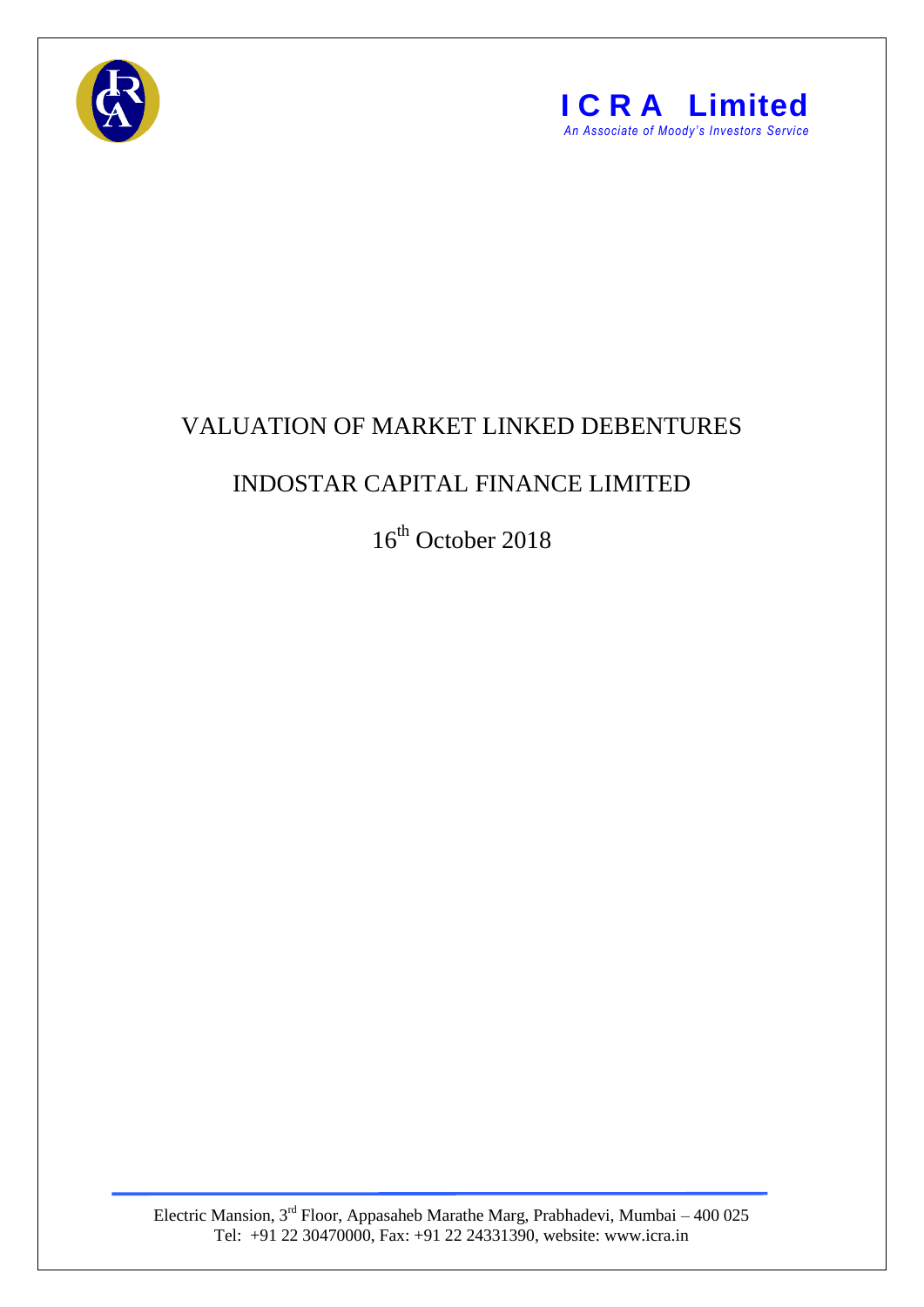



## VALUATION OF MARKET LINKED DEBENTURES

## INDOSTAR CAPITAL FINANCE LIMITED

16<sup>th</sup> October 2018

Electric Mansion,  $3<sup>rd</sup>$  Floor, Appasaheb Marathe Marg, Prabhadevi, Mumbai – 400 025 Tel: +91 22 30470000, Fax: +91 22 24331390, website: www.icra.in